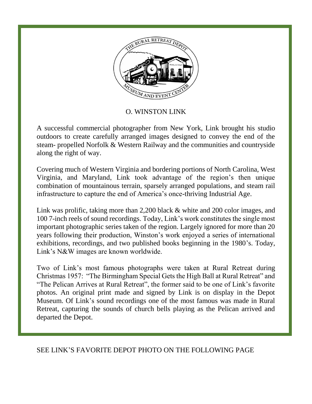

## O. WINSTON LINK

A successful commercial photographer from New York, Link brought his studio outdoors to create carefully arranged images designed to convey the end of the steam- propelled Norfolk & Western Railway and the communities and countryside along the right of way.

Covering much of Western Virginia and bordering portions of North Carolina, West Virginia, and Maryland, Link took advantage of the region's then unique combination of mountainous terrain, sparsely arranged populations, and steam rail infrastructure to capture the end of America's once-thriving Industrial Age.

Link was prolific, taking more than 2,200 black & white and 200 color images, and 100 7-inch reels of sound recordings. Today, Link's work constitutes the single most important photographic series taken of the region. Largely ignored for more than 20 years following their production, Winston's work enjoyed a series of international exhibitions, recordings, and two published books beginning in the 1980's. Today, Link's N&W images are known worldwide.

Two of Link's most famous photographs were taken at Rural Retreat during Christmas 1957: "The Birmingham Special Gets the High Ball at Rural Retreat" and "The Pelican Arrives at Rural Retreat", the former said to be one of Link's favorite photos. An original print made and signed by Link is on display in the Depot Museum. Of Link's sound recordings one of the most famous was made in Rural Retreat, capturing the sounds of church bells playing as the Pelican arrived and departed the Depot.

## SEE LINK'S FAVORITE DEPOT PHOTO ON THE FOLLOWING PAGE